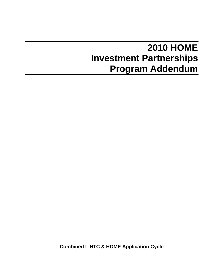# **2010 HOME Investment Partnerships Program Addendum**

**Combined LIHTC & HOME Application Cycle**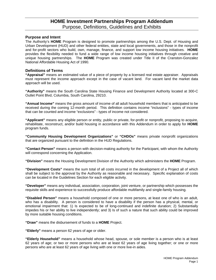# **HOME Investment Partnerships Program Addendum**  Purpose, Definitions, Guidelines and Exhibits

#### **Purpose and Intent**

The Authority's **HOME** Program is designed to promote partnerships among the U.S. Dept. of Housing and Urban Development (HUD) and other federal entities, state and local governments, and those in the nonprofit and for-profit sectors who build, own, manage, finance, and support low income housing initiatives. **HOME** provides the flexibility needed to fund a wide range of low income housing initiatives through creative and unique housing partnerships. The **HOME** Program was created under Title II of the Cranston-Gonzalez National Affordable Housing Act of 1990.

#### **Definitions of Terms**

**"Appraisal"** means an estimated value of a piece of property by a licensed real estate appraiser. Appraisals must represent the income approach except in the case of vacant land. For vacant land the market data approach will be used.

**"Authority"** means the South Carolina State Housing Finance and Development Authority located at 300-C Outlet Point Blvd, Columbia, South Carolina, 29210.

**"Annual Income"** means the gross amount of income of all adult household members that is anticipated to be received during the coming 12-month period. This definition contains income "inclusions" - types of income that can be counted and income "exclusions" - types of income not considered.

**"Applicant"** means any eligible person or entity, public or private, for-profit or nonprofit, proposing to acquire, rehabilitate, reconstruct, and/or build housing in accordance with this Addendum in order to apply for **HOME** program funds.

**"Community Housing Development Organizations"** or **"CHDOs"** means private nonprofit organizations that are organized pursuant to the definition in the HUD Regulations.

**"Contact Person"** means a person with decision-making authority for the Participant, with whom the Authority will correspond concerning the Application.

**"Division"** means the Housing Development Division of the Authority which administers the **HOME** Program.

**"Development Costs"** means the sum total of all costs incurred in the development of a Project all of which shall be subject to the approval by the Authority as reasonable and necessary. Specific explanation of costs can be located in the Guidelines Section for each eligible activity.

**"Developer"** means any individual, association, corporation, joint venture, or partnership which possesses the requisite skills and experience to successfully produce affordable multifamily and single-family housing.

**"Disabled Person"** means a household composed of one or more persons, at least one of who is an adult, who has a disability. A person is considered to have a disability if the person has a physical, mental, or emotional impairment that: 1) Is expected to be of long-continued and indefinite duration; 2) Substantially impedes his or her ability to live independently; and 3) Is of such a nature that such ability could be improved by more suitable housing conditions.

**"Draw"** means the disbursement of funds to a **HOME** Project.

**"Elderly"** means a person 62 years of age or older.

**"Elderly Household"** means a household whose head, spouse, or sole member is a person who is at least 62 years of age; or two or more persons who are at least 62 years of age living together; or one or more persons who are at least 62 years of age living with one or more live-in aides.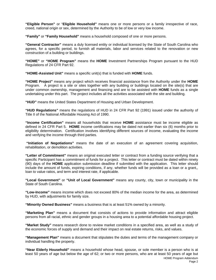**"Eligible Person"** or "**Eligible Household"** means one or more persons or a family irrespective of race, creed, national origin or sex, determined by the Authority to be of low or very low income.

**"Family"** or **"Family Household"** means a household composed of one or more persons.

**"General Contractor"** means a duly licensed entity or individual licensed by the State of South Carolina who agrees, for a specific period, to furnish all materials, labor and services related to the renovation or new construction of a building or buildings.

**"HOME"** or **"HOME Program"** means the **HOME** Investment Partnerships Program pursuant to the HUD Regulations of 24 CFR Part 92.

**"HOME-Assisted Unit"** means a specific unit(s) that is funded with **HOME** funds.

**"HOME Project"** means any project which receives financial assistance from the Authority under the **HOME** Program.A project is a site or sites together with any building or buildings located on the site(s) that are under common ownership, management and financing and are to be assisted with **HOME** funds as a single undertaking under this part. The project includes all the activities associated with the site and building.

**"HUD"** means the United States Department of Housing and Urban Development.

**"HUD Regulations"** means the regulations of HUD in 24 CFR Part 92 (1991) issued under the authority of Title II of the National Affordable Housing Act of 1990.

**"Income Certification"** means all households that receive **HOME** assistance must be income eligible as defined in 24 CFR Part 5. **HOME** income certifications may be dated not earlier than six (6) months prior to eligibility determination. Certification involves identifying different sources of income, evaluating the income and verifying the income through third parties.

**"Initiation of Negotiations"** means the date of an execution of an agreement covering acquisition, rehabilitation, or demolition activities.

**"Letter of Commitment"** means an original executed letter or contract from a funding source verifying that a specific Participant has a commitment of funds for a project. This letter or contract must be dated within ninety (90) days of the **HOME** application submission deadline if submitted with the application. This letter should include the amount of funds, expiring conditions, if any, whether funds will be provided as a loan or a grant,, loan to value ratios, and term and interest rate, if applicable.

**"Local Government"** or **"Unit of Local Government"** means any county, city, town or municipality in the State of South Carolina.

**"Low-Income"** means income which does not exceed 80% of the median income for the area, as determined by HUD, with adjustments for family size.

**"Minority Owned Business"** means a business that is at least 51% owned by a minority.

**"Marketing Plan"** means a document that consists of actions to provide information and attract eligible persons from all racial, ethnic and gender groups in a housing area to a potential affordable housing project.

**"Market Study"** means research done to review market conditions in a specified area, as well as a study of the economic forces of supply and demand and their impact on real estate returns, risks, and values.

**"Management Plan"** means a document that stipulates the duties and terms of the management company or individual handling the property.

HOME Program Addendum **"Near Elderly Household"** means a household whose head, spouse, or sole member is a person who is at least 50 years of age but below the age of 62; or two or more persons, who are at least 50 years of age but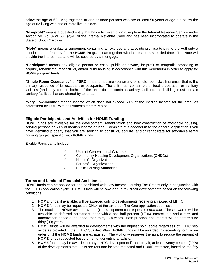below the age of 62, living together; or one or more persons who are at least 50 years of age but below the age of 62 living with one or more live-in aides.

**"Nonprofit"** means a qualified entity that has a tax exemption ruling from the Internal Revenue Service under section 501 (c)(3) or 501 (c)(4) of the Internal Revenue Code and has been incorporated to operate in the State of South Carolina.

**"Note"** means a unilateral agreement containing an express and absolute promise to pay to the Authority a principle sum of money for the **HOME** Program loan together with interest on a specified date. The Note will provide the interest rate and will be secured by a mortgage.

**"Participant"** means any eligible person or entity, public or private, for-profit or nonprofit, proposing to acquire, rehabilitate, reconstruct, and/or build housing in accordance with this Addendum in order to apply for **HOME** program funds.

**"Single Room Occupancy"** or **"SRO"** means housing (consisting of single room dwelling units) that is the primary residence of its occupant or occupants. The unit must contain either food preparation or sanitary facilities (and may contain both). If the units do not contain sanitary facilities, the building must contain sanitary facilities that are shared by tenants.

**"Very Low-Income"** means income which does not exceed 50% of the median income for the area, as determined by HUD, with adjustments for family size.

#### **Eligible Participants and Activities for HOME Funding**

**HOME** funds are available for the development, rehabilitation and new construction of affordable housing, serving persons at 50% of median income or less. Complete this addendum to the general application if you have identified property that you are seeking to construct, acquire, and/or rehabilitate for affordable rental housing (project specific) with **HOME** funds*.* 

Eligible Participants Include:

- <del>V</del> Units of General Local Governments<br>
<del>V</del> Community Housing Development Or
- 9 Community Housing Development Organizations (CHDOs)
- ← Nonprofit Organizations<br>← For-profit Organizations
- 9 For-profit Organizations
- Public Housing Authorities

#### **Terms and Limits of Financial Assistance**

**HOME** funds can be applied for and combined with Low Income Housing Tax Credits only in conjunction with the LIHTC application cycle. **HOME** funds will be awarded to tax credit developments based on the following conditions:

- 1. **HOME** funds, if available, will be awarded only to developments receiving an award of LIHTC.
- 2. **HOME** funds may be requested ONLY at the tax credit Tier One application submission.
- 3. The maximum **HOME** award any one (1) development can request is \$900,000. These awards will be available as deferred permanent loans with a one half percent (1/2%) interest rate and a term and amortization period of no longer than thirty (30) years. Both principal and interest will be deferred for thirty (30) years.
- 4. **HOME** funds will be awarded to developments with the highest point score regardless of LIHTC setaside as provided in the LIHTC Qualified Plan. **HOME** funds will be awarded in decending point score order until the **HOME** funds are exhausted. The Authority reserves the right to reduce the amount of **HOME** funds requested based on an underwriting anaylisis.
- 5. **HOME** funds may be awarded to any LIHTC development if, and only if, at least twenty percent (20%) of the development's total units are rent and income restricted and **HOME** restricted, based on the fifty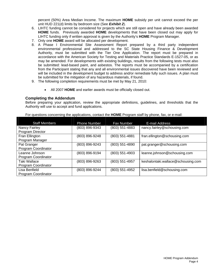percent (50%) Area Median Income. The maximum **HOME** subsidy per unit cannot exceed the per unit HUD 221(d) limits by bedroom size (See *Exhibit 2*).

- 6. LIHTC funding cannot be considered for projects which are still open and have already been awarded **HOME** funds. Previously awarded **HOME** developments that have been closed out may apply for LIHTC funding only if written approval is given by the Authority's **HOME** Program Manager.
- 7. Only one **HOME** award will be allocated per development.
- 8. A Phase I Environmental Site Assessment Report prepared by a third party independent environmental professional and addressed to the SC State Housing Finance & Development Authority, must be submitted with the Tier One Application. The report must be prepared in accordance with the American Society for Testing and Materials Practice Standards E-1527-05, or as may be amended. For developments with existing buildings, results from the following tests must also be submitted: lead-based paint, and asbestos. The reports must be accompanied by a certification from the Participant stating that any and all environmental issues discovered have been reviewed and will be included in the development budget to address and/or remediate fully such issues. A plan must be submitted for the mitigation of any hazardous materials, if found.
- 9. The following completion requirements must be met by May 21, 2010:
	- All 2007 **HOME** and earlier awards must be officially closed out.

#### **Completing the Addendum**

Before preparing your application, review the appropriate definitions, guidelines, and thresholds that the Authority will use to accept and fund applications.

| For questions concerning the applications, contact the HOME Program staff by phone, fax, or e-mail: |  |  |  |  |
|-----------------------------------------------------------------------------------------------------|--|--|--|--|
|-----------------------------------------------------------------------------------------------------|--|--|--|--|

| <b>Staff Members</b> | Phone Number   | Fax Number       | E-mail Address                     |
|----------------------|----------------|------------------|------------------------------------|
| Nancy Fairley        | (803) 896-9343 | $(803)$ 551-4883 | nancy.fairley@schousing.com        |
| Program Director     |                |                  |                                    |
| Fran Ellington       | (803) 896-9248 | (803) 551-4881   | fran.ellington@schousing.com       |
| Program Manager      |                |                  |                                    |
| Pat Granger          | (803) 896-9243 | (803) 551-4890   | pat.granger@schousing.com          |
| Program Coordinator  |                |                  |                                    |
| Leanne Johnson       | (803) 896-9194 | $(803)$ 551-4903 | leanne.johnson@schousing.com       |
| Program Coordinator  |                |                  |                                    |
| Taki Wallace         | (803) 896-9263 | (803) 551-4957   | keshalontaki.wallace@schousing.com |
| Program Coordinator  |                |                  |                                    |
| Lisa Benfield        | (803) 896-9244 | (803) 551-4952   | lisa.benfield@schousing.com        |
| Program Coordinator  |                |                  |                                    |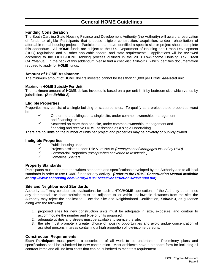# **General HOME Guidelines**

## **Funding Consideration**

The South Carolina State Housing Finance and Development Authority (the Authority) will award a reservation of funds to eligible Participants that propose eligible construction, acquisition, and/or rehabilitation of affordable rental housing projects. Participants that have identified a specific site or project should complete this addendum. All **HOME** funds are subject to the U.S. Department of Housing and Urban Development (HUD) regulations and all other applicable federal and state requirements. Applications will be reviewed according to the LIHTC/**HOME** ranking process outlined in the 2010 Low-Income Housing Tax Credit QAP/Manual. In the back of this addendum please find a checklist, *Exhibit 1*, which identifies documentation required to apply for **HOME** funds.

#### **Amount of HOME Assistance**

The minimum amount of **HOME** dollars invested cannot be less than \$1,000 per **HOME-assisted** unit.

#### **Maximum HOME Subsidy Per Unit:**

The maximum amount of **HOME** dollars invested is based on a per unit limit by bedroom size which varies by jurisdiction. *(See Exhibit 2)*

#### **Eligible Properties**

Properties may consist of a single building or scattered sites. To qualify as a project these properties **must** be:

- $\checkmark$  One or more buildings on a single site; under common ownership, management, and financing; or<br>Scattered on mor
- Scattered on more than one site, under common ownership, management and financing and receive **HOME** assistance as a single undertaking.

There are no limits on the number of units per project and properties may be privately or publicly owned.

#### **Ineligible Properties**

- $\checkmark$  Public housing units<br> $\checkmark$  Projects assisted unc
- 9 Projects assisted under Title VI of NAHA *(Prepayment of Mortgages Issued by HUD)*
- 9 Commercial Properties *(except when converted to residential)*
- 9 Homeless Shelters

#### **Property Standards**

Participants must adhere to the written standards and specifications developed by the Authority and to all local standards in order to use **HOME** funds for any activity. *(Refer to the HOME Construction Manual available at <http://www.schousing.com/library/HOME/2009/Construction%20Manual.pdf>)* 

#### **Site and Neighborhood Standards**

Authority staff may conduct site evaluations for each LIHTC/**HOME** application. If the Authority determines any detrimental site characteristics exist on, adjacent to, or within unallowable distances from the site, the Authority may reject the application. Use the Site and Neighborhood Certification, *Exhibit 3*, as guidance along with the following:

- 1. proposed sites for new construction units must be adequate in size, exposure, and contour to accommodate the number and type of units proposed;
- 2. adequate utilities and streets must be available to service the site;
- 3. the site must promote a greater choice of housing opportunities and avoid undue concentration of assisted persons in areas containing a high proportion of low-income persons.

#### **Construction Requirements**

**Each Participant** must provide a description of all work to be undertaken. Preliminary plans and specifications shall be submitted for new construction. Most architects have a standard form for including all contract items and all line item costs that can be submitted to meet this requirement.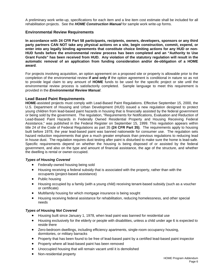A preliminary work write-up, specifications for each item and a line item cost estimate shall be included for all rehabilitation projects. See the *HOME Construction Manual* for sample work write-up forms.

#### **Environmental Review Requirements**

**In accordance with 24 CFR Part 58 participants, recipients, owners, developers, sponsors or any third party partners CAN NOT take any physical actions on a site, begin construction, commit, expend, or enter into any legally binding agreements that constitute choice limiting actions for any HUD or non-HUD funds before the environmental review process has been completed and an "Authority to Use Grant Funds" has been received from HUD. Any violation of the statutory regulation will result in the automatic removal of an application from funding consideration and/or de-obligation of a HOME award**.

For projects involving acquisition, an option agreement on a proposed site or property is allowable prior to the completion of the environmental review **if and only if** the option agreement is conditional in nature so as not to provide legal claim to any amount of **HOME** funds to be used for the specific project or site until the environmental review process is satisfactorily completed. Sample language to meet this requirement is provided in the *Environmental Review Manual*.

#### **Lead Based Paint Requirements**

**HOME**-assisted projects must comply with Lead-Based Paint Regulations. Effective September 15, 2000, the U.S. Department of Housing and Urban Development (HUD) issued a new regulation designed to protect young children from lead-based paint hazards in housing that is financially assisted by the federal government or being sold by the government. The regulation, "Requirements for Notifications, Evaluation and Reduction of Lead-Based Paint Hazards in Federally Owned Residential Property and Housing Receiving Federal Assistance," was published in the Federal Register on September 15, 1999. This regulation appears within title 24 of the Code of Federal Regulations as part 35 **(24 CFR Part 35)**. The requirements apply to housing built before 1978, the year lead-based paint was banned nationwide for consumer use. The regulation sets hazard reduction requirements that give a much greater emphasis than previous regulations to reducing lead in house dust. The regulation requires dust testing after paint is disturbed to make sure the home is lead-safe. Specific requirements depend on whether the housing is being disposed of or assisted by the federal government, and also on the type and amount of financial assistance, the age of the structure, and whether the dwelling is rental or owner-occupied.

#### *Types of Housing Covered*

- Federally-owned housing being sold
- Housing receiving a federal subsidy that is associated with the property, rather than with the occupants (project-based assistance)
- Public housing
- Housing occupied by a family (with a young child) receiving tenant-based subsidy (such as a voucher or certificate)
- Multifamily housing for which mortgage insurance is being sought
- Housing receiving federal assistance for rehabilitation, reducing homelessness, and other special needs

#### *Types of Housing Not Covered*

- Housing built since January 1, 1978, when lead paint was banned for residential use
- Housing exclusively for the elderly or people with disabilities, unless a child under age 6 is expected to reside there
- Zero-bedroom dwellings, including efficiency apartments, single-room occupancy housing, dormitories, or military barracks
- Property that has been found to be free of lead-based paint by a certified lead-based paint inspector
- Property where all lead-based paint has been removed
- Unoccupied housing that will remain vacant until it is demolished
- Non-residential property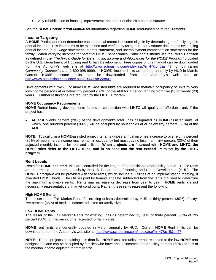• Any rehabilitation of housing improvement that does not disturb a painted surface

See the *HOME Construction Manual* for information regarding **HOME** lead-based paint requirements.

#### **Income Targeting**

A **HOME** Participant must determine each potential tenant is income eligible by determining the family's gross annual income. This income must be examined and verified by using third party source documents evidencing annual income (e.g., wage statement, interest statement, and unemployment compensation statement) for the family. When verifying incomes for potential **HOME** beneficiaries, Participants should use the Part 5 Definiton as defined in the *"Technical Guide for Determining Income and Allowances for the HOME Program"* provided by the U.S. Department of Housing and Urban Development. Free copies of this manual can be downloaded from the Authority's web site at http://www.schousing.com/index.asp?n=47&p=5&s=47, or by calling C*ommunity Connections* at 1-800-998-9999. **HOME** income limits are udated annually by HUD in March. Current **HOME** Income limits can be downloaded from the Authority's web site at: <http://www.schousing.com/index.asp?n=47&p=5&s=47>

Developments with five (5) or more **HOME**-assisted units are required to maintain occupancy of units by very low-income persons at or below fifty percent (50%) of the AMI for a period ranging from five (5) to twenty (20) years. Further restrictions are required by the LIHTC Program.

#### **HOME Occupancy Requirements**

**HOME** Rental housing developments funded in conjunction with LIHTC will qualify as affordable only if the project has:

• At least twenty percent (20%) of the development's total units designated as **HOME**-assisted units; of which, one hundred percent (100%) will be occupied by households at or below fifty percent (50%) of the AMI.

**NOTE:** Typically, in a **HOME**-assisted project, tenants whose annual incomes increase to over eighty percent (80%) of median area income may remain in occupancy but must pay no less than thirty percent (30%) of their adjusted monthly income for rent and utilities. **When projects are financed with HOME and LIHTC, the HOME rules defer to the LIHTC rules, and in no case can the rent exceed limits set by the LIHTC program**.

#### **Rent Levels**

Rents for **HOME**-**assisted** units are controlled for the length of the applicable affordability period. These rents are determined on an annual basis by the U.S. Department of Housing and Urban Development (HUD). The **HOME** Participant will be provided with these rents, which include all utilities at an implementation meeting, if awarded **HOME** funds. The utilities paid by tenants shall be subtracted from the rents provided to determine the maximum allowable rents. Rents may increase or decrease from year to year. **HOME** rents are not necessarily representative of market conditions. Rather, these rents represent the following:

#### **High HOME Rents**

The lesser of the Fair Market Rents for existing units as determined by HUD or thirty percent (30%) of sixtyfive percent (65%) of median income, adjusted for family size.

#### **Low HOME Rents**

The lesser of the Fair Market Rents for existing units as determined by HUD or thirty percent (30%) of fifty percent (50%) of median income, adjusted for family size.

**HOME** rent limits are generally updated in March annually by HUD. Current **HOME** Rent limits can be downloaded from the Authority's web site at:<http://www.schousing.com/index.asp?n=47&p=5&s=47>

**NOTE**: Rental projects containing less than five **HOME**-assisted units are not restricted to the low **HOME** rent designations and can be occupied by families who have annual incomes that are sixty percent (60%) or less of the median income adjusted for family size.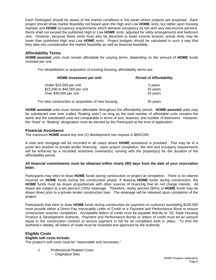Each Participant should be aware of the market conditions in the areas where projects are proposed. Each project should show market feasibility not based upon the High and Low **HOME** rents, but rather upon housing markets and **HOME** occupancy requirements which demand occupancy by low and very low-income persons. Rents shall not exceed the published High or Low **HOME** rents, adjusted for utility arrangements and bedroom size. However, because these rents must also be attractive to lower income tenants, actual rents may be lower than published High and Low **HOME** rents. Project budgets should be calculated in such a way that they take into consideration the market feasibility as well as financial feasibility.

## **Affordability Terms**

**HOME**-**assisted** units must remain affordable for varying terms, depending on the amount of **HOME** funds invested per unit:

For rehabilitation or acquisition of existing housing, affordability terms are:

| <b>HOME Investment per Unit</b><br>Under \$15,000 per unit<br>\$15,000 to \$40,000 per unit<br>Over \$40,000 per unit | <b>Period of Affordability</b> |
|-----------------------------------------------------------------------------------------------------------------------|--------------------------------|
|                                                                                                                       | 5 years                        |
|                                                                                                                       | 10 years                       |
|                                                                                                                       | 15 years                       |
| For new construction or acquisition of new housing                                                                    | 20 years                       |

**HOME**-**assisted** units must remain affordable throughout the affordability period. **HOME**-**assisted** units may be substituted over time (called "floating units") as long as the total number of affordable units remains the same and the substituted units are comparable in terms of size, features, and number of bedrooms. However, the "fixed" or "floating" designation must be elected by the Participant at the time of application.

#### **Financial Assistance**

The maximum **HOME** award any one (1) development can request is \$900,000.

A note and mortgage will be recorded in all cases where **HOME** assistance is provided. This may be in a junior lien position to private lender financing. Upon project completion, the rent and occupany requirements will be enforced by a recorded restrictive covenant(s) running with the property(s) for the duration of the affordablility period.

#### **All financial commitments must be obtained within ninety (90) days from the date of your reservation letter.**

Participants may elect to draw **HOME** funds during construction or project at completion. There is no interest incurred on **HOME** funds during the construction phase. If drawing **HOME** funds during construction, the **HOME** funds must be drawn proportionate with other sources of financing that do not charge interest. All draws are subject to a ten percent (10%) retainage. Therefore, ninety percent (90%) of **HOME** funds may be drawn down prior to a private lender construction loan. The retainage will be released upon completion of the project.

Participants that elect to draw **HOME** funds during construction for payment on contracts exceeding \$100,000 must provide either a Direct Pay Irrevocable Letter of Credit or a Payment and Performance Bond to ensure construction reaches completion. Acceptable letters of credit must be payable directly to: SC State Housing Finance & Development Authority. Payment and Performance Bonds or letters of credit must be an amount equal to the construction contract to ensure payment in full for all completed work in place. To limit the Authority's liability, all letters of credit must be reviewed and approved by the Authority.

## **Eligible Costs**

#### **Eligible soft costs Include:**

The project's soft costs must be "reasonable and necessary."

- 1. Professional Related Costs
	- -- Origination fees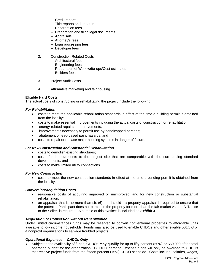- -- Credit reports
- -- Title reports and updates
- -- Recordation fees
- -- Preparation and filing legal documents
- -- Appraisals
- -- Attorney's fees
- -- Loan processing fees
- -- Developer fees
- 2. Construction Related Costs
	- -- Architectural fees
	- -- Engineering fees
	- -- Preparation of Work write-ups/Cost estimates
	- -- Builders fees
- 3. Project Audit Costs
- 4. Affirmative marketing and fair housing

#### **Eligible Hard Costs**

The actual costs of constructing or rehabilitating the project include the following:

#### *For Rehabilitation*

- costs to meet the applicable rehabilitation standards in effect at the time a building permit is obtained from the locality;
- costs to make essential improvements including the actual costs of construction or rehabilitation;
- energy-related repairs or improvements;
- improvements necessary to permit use by handicapped persons;
- abatement of lead-based paint hazards; and
- costs to repair or replace major housing systems in danger of failure.

#### *For New Construction and Substantial Rehabilitation*

- costs to demolish existing structures;
- costs for improvements to the project site that are comparable with the surrounding standard developments; and
- costs to make limited utility connections.

#### *For New Construction*

• costs to meet the new construction standards in effect at the time a building permit is obtained from the locality.

#### *Conversion/Acquisition Costs*

- reasonable costs of acquiring improved or unimproved land for new construction or substantial rehabilitation;
- an appraisal that is no more than six (6) months old a property appraisal is required to ensure that the potential Participant does not purchase the property for more than the fair market value. A "Notice to the Seller" is required. A sample of this "Notice" is included as *Exhibit 4*.

#### *Acquisition or Conversion without Rehabilitation*

Under limited circumstances funds may be reserved to convert conventional properties to affordable units available to low income households Funds may also be used to enable CHDOs and other eligible 501(c)3 or 4 nonprofit organizations to salvage troubled projects.

#### *Operational Expenses -- CHDOs Only*

• Subject to the availability of funds, CHDOs **may qualify** for up to fifty percent (50%) or \$50,000 of the total operating budget for the organization. CHDO Operating Expense funds will only be awarded to CHDOs that receive project funds from the fifteen percent (15%) CHDO set aside. Costs include: salaries, wages,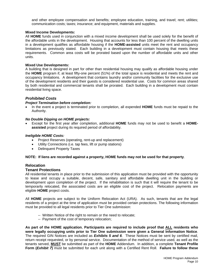and other employee compensation and benefits; employee education, training, and travel; rent; utilities; communication costs; taxes; insurance; and equipment, materials and supplies.

#### **Mixed Income Developments:**

All **HOME** funds used in conjunction with a mixed income development shall be used solely for the benefit of the affordable units in the development. Housing that accounts for less than 100 percent of the dwelling units in a development qualifies as affordable housing if the **HOME-assisted** units meet the rent and occupancy limitations as previously stated. Each building in a development must contain housing that meets these requirements. Common area costs will be prorated based upon the number of affordable units and other units.

#### **Mixed Use Developments:**

A building that is designed in part for other than residential housing may qualify as affordable housing under the **HOME** program if, at least fifty-one percent (51%) of the total space is residential and meets the rent and occupancy limitations. A development that contains laundry and/or community facilities for the exclusive use of the development residents and their guests is considered residential use. Costs for common areas shared by both residential and commercial tenants shall be prorated. Each building in a development must contain residential living space.

#### *Prohibited Costs*

#### *Project Termination before completion:*

• In the event a project is terminated prior to completion, all expended **HOME** funds must be repaid to the Authority.

#### *No Double Dipping on HOME projects:*

• Except for the first year after completion, additional **HOME** funds may not be used to benefit a **HOMEassisted** project during its required period of affordability.

#### *Ineligible HOME Costs:*

- Project Reserves (operating, rent-up and replacement)
- Utility Connections (i.e. tap fees, lift or pump stations)
- Delinquent Property Taxes

#### **NOTE: If liens are recorded against a property, HOME funds may not be used for that property**.

### **Relocation**

#### **Tenant Protections**

All residential tenants in place prior to the submission of this application must be provided with the opportunity to lease and occupy a suitable, decent, safe, sanitary and affordable dwelling unit in the building or development upon completion of the project. If the rehabilitation is such that it will require the tenant to be temporarily relocated, the associated costs are an eligible cost of the project. Relocation payments are eligible **HOME** project costs.

All **HOME** projects are subject to the Uniform Relocation Act (URA). As such, tenants that are the legal residents of a project at the time of application must be provided certain protections. The following information must be provided to all legal residents prior to Tier One submission:

- -- Written Notice of the right to remain or the need to relocate;
- -- Payment of the cost of temporary relocation;

**As part of the HOME application**, **Participants are required to include proof that ALL residents who were legally occupying units prior to Tier One submission were given a General Information Notice**. The required GIN Notices are included as *Exhibits 5 and 6*. These Notices must be sent by certified mail, return receipt requested, or by personal service. Documentation of the method of service used, as well as the tenants served, **MUST** be submitted as part of the **HOME** Addendum. In addition, a complete **Tenant Profile Form (***Exhibit 7***)** must be submitted for each unit along with a Certified Rent Roll. **Failure to follow these**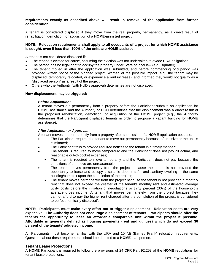#### **requirements exactly as described above will result in removal of the application from further consideration**.

A tenant is considered displaced if they move from the real property, permanently, as a direct result of rehabilitation, demolition, or acquisition of a **HOME-assisted** project.

#### **NOTE: Relocation requirements shall apply to all occupants of a project for which HOME assistance is sought, even if less than 100% of the units are HOME-assisted.**

A tenant is not considered displaced if:

- The tenant is evicted for cause, assuming the eviction was not undertaken to evade URA obligations.
- The person has no legal right to occupy the property under State or local law (e.g., squatter).
- The tenant moved in after the application was submitted, and before commencing occupancy was provided written notice of the planned project, warned of the possible impact (e.g., the tenant may be displaced, temporarily relocated, or experience a rent increase), and informed they would not qualify as a "displaced person" as a result of the project.
- Others who the Authority (with HUD's approval) determines are not displaced.

#### **How displacement may be triggered:**

#### *Before Application:*

A tenant moves out permanently from a property before the Participant submits an application for **HOME** assistance and the Authority or HUD determines that the displacement was a direct result of the proposed rehabilitation, demolition, or acquisition of the **HOME** project (e.g., the Authority determines that the Participant displaced tenants in order to propose a vacant building for **HOME** assistance).

#### *After Application or Approval:*

A tenant moves out permanently from a property after submission of a **HOME** application because:

- The Participant requires the tenant to move out permanently because of unit size or the unit is eliminated;
- The Participant fails to provide required notices to the tenant in a timely manner;
- The tenant is required to move temporarily and the Participant does not pay all actual, and reasonable out-of-pocket expenses;
	- The tenant is required to move temporarily and the Participant does not pay because the conditions of the move are unreasonable;
- The tenant moves permanently from the project because the tenant is not provided the opportunity to lease and occupy a suitable decent safe, and sanitary dwelling in the same building/complex upon the completion of the project;
	- The tenant moves permanently from the project because the tenant is not provided a monthly rent that does not exceed the greater of the tenant's monthly rent and estimated average utility costs before the initiation of negotiations or thirty percent (30%) of the household's average gross income. A tenant that moves permanetely from the project because they cannot afford to pay the higher rent charged after the completion of the project is considered to be "economically displaced".

**NOTE: Participants must make every effort not to trigger displacement**. **Relocation costs are very expensive**. **The Authority does not encourage displacement of tenants**. **Participants should offer the tenants the opportunity to lease an affordable comparable unit within the project if possible**. **Affordable is generally defined as housing payments (rent and utilities) which do not exceed 30 percent of the tenants' adjusted income**.

All Participants must become familiar with the URA and 104(d) (Barney Frank) relocation requirements. Questions about these requirements should be directed to a **HOME** staff person.

#### **Tenant Lease Protections**

A **HOME** Participant is required to follow the provisions of 24 CFR Part 92.253 of the **HOME** regulations for tenant lease protections.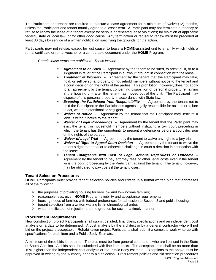The Participant and tenant are required to execute a lease agreement for a minimum of twelve (12) months, unless the Participant and tenant mutally agree to a lesser term. A Participant may not terminate a tenancy or refuse to renew the lease of a tenant except for serious or repeated lease violations; for violation of applicable federal, state or local law; or for other good cause. Any termination or refusal to renew must be preceded at least 30 days by service of a written notification specifying the grounds for the action.

Participants may not refuse, except for just cause, to lease a **HOME-assisted** unit to a family which holds a rental certificate or rental voucher or a comparable document under the **HOME** Program.

 *Certain lease terms are prohibited. These include:* 

- *Agreement to be Sued*-- Agreement by the tenant to be sued, to admit guilt, or to a judgment in favor of the Participant in a lawsuit brought in connection with the lease.
- **Treatment of Property** -- Agreement by the tenant that the Participant may take, hold, or sell personal property of household members without notice to the tenant and a court decision on the rights of the parties. This prohibition, however, does not apply to an agreement by the tenant concerning disposition of personal property remaining in the housing unit after the tenant has moved out of the unit. The Participant may dispose of this personal property in accordance with State law.
- **Excusing the Participant from Responsibility** -- Agreement by the tenant not to hold the Participant or the Participant's agents legally responsible for actions or failure to act, whether intentional or negligent.
- **Waiver of Notice** -- Agreement by the tenant that the Participant may institute a lawsuit without notice to the tenant.
- *Waiver of Legal Proceedings* -- Agreement by the tenant that the Participant may evict the tenant or household members without instituting a civil court preceding in which the tenant has the opportunity to present a defense or before a court decision on the rights of the parties.
- **Waiver of Legal Trial** -- Agreement by the tenant to waive any right to a jury trial.
- *Waiver of Right to Appeal Court Decision* -- Agreement by the tenant to waive the tenant's right to appeal or to otherwise challenge in court a decision in connection with the lease.
- *Tenant Chargeable with Cost of Legal Actions Regardless of Outcome* -- Agreement by the tenant to pay attorney fees or other legal costs even if the tenant wins the court proceeding by the Participant against the tenant. The tenant, however, may be obligated to pay costs if the tenant loses.

#### **Tenant Selection Procedures**

**HOME** Participants must provide tenant selection policies and criteria in a formal written plan that addresses all of the following:

- $\triangleright$  the purposes of providing housing for very low and low-income families;
- ¾ reasonableness, given **HOME** Program eligibility and acceptance requirements;
- $\triangleright$  housing needs of families with federal preferences for admission to Section 8 and public housing;
- $\triangleright$  tenant selection from a written waiting list in chronological order;
- $\triangleright$  written notification of rejection and the grounds for such in a timely manner

#### **Procurement Requirements**

New construction project Participants shall submit detailed, final plans, specifications and an independent cost analysis on a date to be determined. A cost analysis by the architect or by a general contractor who will not bid on the project is acceptable. Rehabilitation project Participants shall submit a complete work write-up with specifications for each item and a Public Body Estimate.

A minimum of three bids is required. The bids must be from general contractors who are licensed in the State of South Carolina. All bids shall be submitted with line item costs. The acceptable bid shall be no more than 10% higher than the independent cost analysis or the Public Body estimate. Exceptions to the above must be approved in writing by the Authority prior to bid selection. Procurement policies and bid selection procedures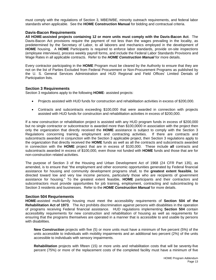must comply with the regulations of Section 3, MBE/WBE, minority outreach requirements, and federal labor standards when applicable. See the **HOME Construction Manual** for bidding and contractual criteria.

#### **Davis-Bacon Requirements**

**All HOME-assisted projects containing 12 or more units must comply with the Davis-Bacon Act**.The Davis-Bacon Act provisions require the payment of not less than the wages prevailing in the locality, as predetermined by the Secretary of Labor, to all laborers and mechanics employed in the development of **HOME** housing. A **HOME** Participants is required to enforce labor standards, provide on-site inspections (employee interviews), process weekly payroll forms, and include the Federal Labor Standards Provisions and Wage Rates in all applicable contracts. Refer to the *HOME Construction Manual* for more details.

Every contractor participating in the **HOME** Program must be cleared by the Authority to ensure that they are not on the list of Parties Excluded from Federal Procurement or Non-Procurement Programs as published by the U. S. General Services Administration and HUD Regional and Field Offices' Limited Denials of Participation lists.

#### **Section 3 Requirements**

Section 3 regulations apply to the following **HOME**- assisted projects:

- Projects assisted with HUD funds for construction and rehabilitation activities in excess of \$200,000.
- Contracts and subcontracts exceeding \$100,000 that were awarded in connection with projects assisted with HUD funds for construction and rehabilitation activities in excess of \$200,000.

If a new construction or rehabilitation project is assisted with any HUD program funds in excess of \$200,000 but no single contractor or subcontractor is awarded more than \$100,0000 in association with the project then only the organization that directly received the **HOME** assistance is subject to comply with the Section 3 Regulations concerning training, employment and contracting activities. If there are contracts and subcontracts awarded in conjunction with the Section 3 applicable project, then Section 3 regulations apply to the organization that directly received the **HOME** funds as well as all the contracts and subcontracts awarded in connection with the **HOME** project that are in excess of \$100,000. These include **all** contracts and subcontracts awarded in excess of \$100,000, even those not funded with **HOME** funds and those that are for non-construction related activities.

The purpose of Section 3 of the Housing and Urban Development Act of 1968 (24 CFR Part 135), as amended, is to ensure that "the employment and other economic opportunities generated by Federal financial assistance for housing and community development programs shall, to the **greatest extent feasible**, be directed toward low and very low income persons, particularly those who are recipients of government assistance for housing." To the greatest extent feasible, **HOME** participants and their contractors and subcontractors must provide opportunities for job training, employment, contracting and subcontracting to Section 3 residents and businesses. Refer to the *HOME Construction Manual* for more details.

#### **Section 504 Requriements**

**HOME**-assisted multi-family housing must meet the accessibility requirements of **Section 504 of the Rehabilitation Act of 1973**. The Act prohibits discrimination against persons with disabilities in the operation of programs receiving Federal financial assistance. HUD regulations implementing **Section 504** contain accessibility requirements for new construction and rehabilitation of housing as well as requirements for ensuring that the programs themselves are operated in a manner that is accessible to and usable by persons with disabilities.

**New Construction** projects with five (5) or more units must have a minimum of five percent (5%) of the units accessible to individuals with mobility impairments and an additional two percent (2%) of the units accessible to individuals with sensory impairments.

**Rehabilitation** projects with fifteen (15) or more units and rehabilitation costs that will be seventy-five percent (75%) or more of the replacement costs of the completed facility must have a minimum of five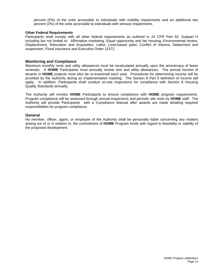percent (5%) of the units accessible to individuals with mobility impairments and an additional two percent (2%) of the units accessible to individuals with sensory impairments.

#### **Other Federal Requirements**

Participants shall comply with all other federal requirements as outlined in 24 CFR Part 92, Subpart H including but not limited to: Affirmative marketing, Equal opportunity and fair housing, Environmental review, Displacement, Relocation and Acquisition, Labor, Lead-based paint, Conflict of interest, Debarment and suspension, Flood insurance and Executive Order 12372.

#### **Monitoring and Compliance**

Maximum monthly rents and utility allowances must be recalculated annually upon the anniversary of lease renewals. A **HOME** Participants must annually review rent and utility allowances. The annual income of tenants in **HOME** projects must also be re-examined each year. Procedures for determining income will be provided by the Authority during an implementation meeting. The Section 8 Part 5 definition of income will apply. In addition, Participants shall conduct on-site inspections for compliance with Section 8 Housing Quality Standards annually.

The Authority will monitor **HOME** Participants to ensure compliance with **HOME** program requirements. Program compliance will be assessed through annual inspections and periodic site visits by **HOME** staff. The Authority will provide Participants with a Compliance Manual after awards are made detailing required responsibilities for program compliance.

#### **General**

No member, officer, agent, or employee of the Authority shall be personally liable concerning any matters arising out of or in relation to, the commitment of **HOME** Program funds with regard to feasibility or viability of the proposed development.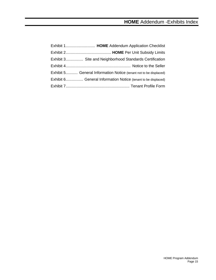| Exhibit 3 Site and Neighborhood Standards Certification           |  |
|-------------------------------------------------------------------|--|
|                                                                   |  |
| Exhibit 5 General Information Notice (tenant not to be displaced) |  |
| Exhibit 6 General Information Notice (tenant to be displaced)     |  |
|                                                                   |  |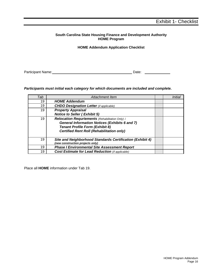## **South Carolina State Housing Finance and Development Authority HOME Program**

#### **HOME Addendum Application Checklist**

Participant Name: <u>Date: Date: Date: Date: Date: Date: Date: Date: Date: Date: Date: Date: Date: Date: Date: Date: Date: Date: Date: Date: Date: Date: Date: Date: Date: Date: Date: Date: Date: Date: Date: Date: Date: Date:</u>

## *Participants must initial each category for which documents are included and complete.*

| Tab | Attachment Item                                           |  |
|-----|-----------------------------------------------------------|--|
| 19  | <b>HOME Addendum</b>                                      |  |
| 19  | <b>CHDO Designation Letter</b> (if applicable)            |  |
| 19  | <b>Property Appraisal</b>                                 |  |
|     | <b>Notice to Seller (Exhibit 5)</b>                       |  |
| 19  | Relocation Requriements (Rehabilitation Only):            |  |
|     | <b>General Information Notices (Exhibits 6 and 7)</b>     |  |
|     | <b>Tenant Profile Form (Exhibit 8)</b>                    |  |
|     | <b>Certified Rent Roll (Rehabilitation only)</b>          |  |
|     |                                                           |  |
| 19  | Site and Neighborhood Standards Certification (Exhibit 4) |  |
|     | (new construction projects only)                          |  |
| 19  | <b>Phase I Environmental Site Assessment Report</b>       |  |
| 19  | <b>Cost Estimate for Lead Reduction</b> (if applicable)   |  |

Place all **HOME** information under Tab 19.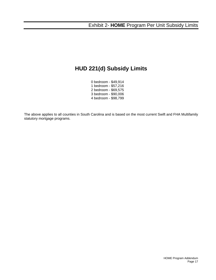# **HUD 221(d) Subsidy Limits**

0 bedroom - \$49,914 1 bedroom - \$57,216 2 bedroom - \$69,575 3 bedroom - \$90,006 4 bedroom - \$98,799

The above applies to all counties in South Carolina and is based on the most current Swift and FHA Multifamily statutory mortgage programs.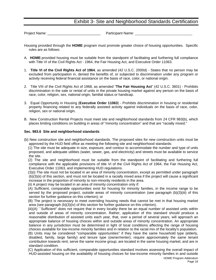# Exhibit 3- Site and Neighborhood Standards Certification

Project Name: \_\_\_\_\_\_\_\_\_\_\_\_\_\_\_\_\_\_\_\_\_\_\_\_\_\_\_ Participant Name:

- Housing provided through the **HOME** program must promote greater choice of housing opportunities. Specific rules are as follows:
- A. **HOME**-provided housing must be suitable from the standpoint of facilitating and furthering full compliance with Title VI of the Civil Rights Act - 1964, the Fair Housing Act, and Executive Order 11063.
- 1. **Title VI of the Civil Rights Act of 1964**, as amended (42 U.S.C. 2000d) States that no person may be excluded from participation in, denied the benefits of, or subjected to discrimination under any program or activity receiving federal financial assistance on the basis of race, color, or national origin.
- 2. Title VIII of the Civil Rights Act of 1968, as amended "**The Fair Housing Act**" (42 U.S.C. 3601) Prohibits discrimination in the sale or rental of units in the private housing market against any person on the basis of race, color, religion, sex, national origin, familial status or handicap.
- 3. Equal Opportunity in Housing (**Executive Order 11063**) Prohibits discrimination in housing or residential property financing related to any federally assisted activity against individuals on the basis of race, color, religion, sex or national origin.
- B. New Construction Rental Projects must meet site and neighborhood standards from 24 CFR 983(b), which places limiting conditions on building in areas of "minority concentration" and that are "racially mixed."

#### **Sec. 983.6 Site and neighborhood standards**

(b) New construction site and neighborhood standards. The proposed sites for new construction units must be approved by the HUD field office as meeting the following site and neighborhood standards:

 (1) The site must be adequate in size, exposure, and contour to accommodate the number and type of units proposed, and adequate utilities (water, sewer, gas, and electricity) and streets must be available to service the site.

 (2) The site and neighborhood must be suitable from the standpoint of facilitating and furthering full compliance with the applicable provisions of title VI of the Civil Rights Act of 1964, the Fair Housing Act, Executive Order 11063, and implementing HUD regulations.

 (3)(i) The site must not be located in an area of minority concentration, except as permitted under paragraph (b)(3)(ii) of this section, and must not be located in a racially mixed area if the project will cause a significant increase in the proportion of minority to non-minority residents in the area.

(ii) A project may be located in an area of minority concentration only if:

 (A) Sufficient, comparable opportunities exist for housing for minority families, in the income range to be served by the proposed project, outside areas of minority concentration (see paragraph (b)(3)(iii) of this section for further guidance on this criterion); or

 (B) The project is necessary to meet overriding housing needs that cannot be met in that housing market area (see paragraph (b)(3)(iv) of this section for further guidance on this criterion).

 (iii)(A) ``Sufficient'' does not require that in every locality there be an equal number of assisted units within and outside of areas of minority concentration. Rather, application of this standard should produce a reasonable distribution of assisted units each year, that, over a period of several years, will approach an appropriate balance of housing choices within and outside areas of minority concentration. An appropriate balance in any jurisdiction must be determined in light of local conditions affecting the range of housing choices available for low-income minority families and in relation to the racial mix of the locality's population.

 (B) Units may be considered "comparable opportunities'' if they have the same household type (elderly, disabled, family, large family) and tenure type (owner/renter); require approximately the same tenant contribution towards rent; serve the same income group; are located in the same housing market; and are in standard condition.

 (C) Application of this sufficient, comparable opportunities standard involves assessing the overall impact of HUD-assisted housing on the availability of housing choices for low-income minority families in and outside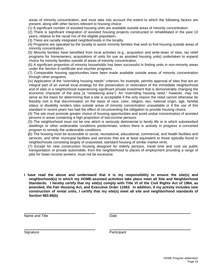areas of minority concentration, and must take into account the extent to which the following factors are present, along with other factors relevant to housing choice:

(1) A significant number of assisted housing units are available outside areas of minority concentration.

 (2) There is significant integration of assisted housing projects constructed or rehabilitated in the past 10 years, relative to the racial mix of the eligible population.

(3) There are racially integrated neighborhoods in the locality.

 (4) Programs are operated by the locality to assist minority families that wish to find housing outside areas of minority concentration.

 (5) Minority families have benefited from local activities (e.g., acquisition and write-down of sites, tax relief programs for homeowners, acquisitions of units for use as assisted housing units) undertaken to expand choice for minority families outside of areas of minority concentration.

 (6) A significant proportion of minority households has been successful in finding units in non-minority areas under the Section 8 certificate and voucher programs.

 (7) Comparable housing opportunities have been made available outside areas of minority concentration through other programs.

 (iv) Application of the "overriding housing needs'' criterion, for example, permits approval of sites that are an integral part of an overall local strategy for the preservation or restoration of the immediate neighborhood and of sites in a neighborhood experiencing significant private investment that is demonstrably changing the economic character of the area (a "revitalizing area''). An "overriding housing need,'' however, may not serve as the basis for determining that a site is acceptable if the only reason the need cannot otherwise be feasibly met is that discrimination on the basis of race, color, religion, sex, national origin, age, familial status or disability renders sites outside areas of minority concentration unavailable or if the use of this standard in recent years has had the effect of circumventing the obligation to provide housing choice.

 (4) The site must promote greater choice of housing opportunities and avoid undue concentration of assisted persons in areas containing a high proportion of low-income persons.

 (5) The neighborhood must not be one which is seriously detrimental to family life or in which substandard dwellings or other undesirable conditions predominate, unless there is actively in progress a concerted program to remedy the undesirable conditions.

 **(**6) The housing must be accessible to social, recreational, educational, commercial, and health facilities and services, and other municipal facilities and services that are at least equivalent to those typically found in neighborhoods consisting largely of unassisted, standard housing of similar market rents.

 (7) Except for new construction housing designed for elderly persons, travel time and cost via public transportation or private automobile, from the neighborhood to places of employment providing a range of jobs for lower-income workers, must not be excessive.

**I have read the above and understand that it is my responsibility to ensure the site(s) and neighborhood(s) in which my HOME-assisted activities take place meet all Site and Neighborhood Standards. I hereby certify that my site(s) comply with Title VI of the Civil Rights Act of 1964, as amended, the Fair Housing Act, and Executive Order 11063. In addition, if my activity includes new construction of rental units, I certify that my site(s) meet all site and neighborhood standards of Section 983.69(b)**.

Name and Title **Date** Date

Signature **Participant**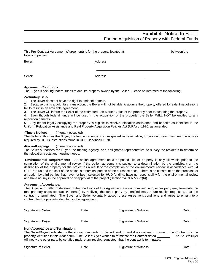# Exhibit 4- Notice to Seller For the Acquisition of Property with Federal Funds

| This Pre-Contract Agreement (Agreement) is for the property located at<br>between the<br>following parties: |          |  |
|-------------------------------------------------------------------------------------------------------------|----------|--|
| Buyer:                                                                                                      | Address  |  |
| Seller:                                                                                                     | Address: |  |

#### **Agreement Conditions:**

The Buyer is seeking federal funds to acquire property owned by the Seller. Please be informed of the following:

#### **-Voluntary Sale-**

1. The Buyer does not have the right to eminent domain.<br>2. Because this is a voluntary transaction, the Buyer will 2. Because this is a voluntary transaction, the Buyer will not be able to acquire the property offered for sale if negotiations fail to result in an amicable agreement.

3. The Buyer will inform the Seller of the estimated Fair Market Value of the property prior to acquiring the property.

4. Even though federal funds will be used in the acquisition of the property, the Seller WILL NOT be entitled to any relocation benefits.

5. Any tenant legally occupying the property is eligible to receive relocation assistance and benefits as identified in the Uniform Relocation Assistance and Real Property Acquisition Policies Act (URA) of 1970, as amended.

#### **-Timely Notices-** (if tenant occupied)

The Seller authorizes the Buyer, the funding agency or a designated representative, to provide to each resident the notices required by HUD's instructions found in HUD Handbook 1378.

#### **-Recordkeeping-** (if tenant occupied)

The Seller authorizes the Buyer, the funding agency, or a designated representative, to survey the residents to determine the relocation costs and housing needs.

**-Environmental Requirements** - An option agreement on a proposed site or property is only allowable prior to the completion of the environmental review if the option agreement is subject to a determination by the participant on the desirability of the property for the project as a result of the completion of the environmental review in accordance with 24 CFR Part 58 and the cost of the option is a nominal portion of the purchase price. There is no constraint on the purchase of an option by third parties that have not been selected for HUD funding, have no responsibility for the environmental review and have no say in the approval or disapproval of the project (Section 24 CFR 58.22(b)).

#### **Agreement Acceptance:**

The Buyer and Seller understand if the conditions of this Agreement are not complied with, either party may terminate the real property sales contract (Contract) by notifying the other party by certified mail, return-receipt requested, that the contract is terminated. The Buyer and Seller voluntarily accept these Agreement conditions and agree to enter into a contract for the property identified in this agreement.

| Signature of Seller | Date | Signature of Witness | Date |
|---------------------|------|----------------------|------|
| Signature of Buyer  | Date | Signature of Witness | Date |

#### **Non-Acceptance and Termination:**

The Seller/Buyer understands the above comments in this Addendum and does not wish to amend the Contract for the property identified in this Addendum. The Seller/Buyer wishes to terminate the Contract dated . The Seller/Buyer will notify the other party by certified mail, return-receipt requested, that the contract is terminated.

| Signature of Seller | Date | Signature of Witness | Date |
|---------------------|------|----------------------|------|
|                     |      |                      |      |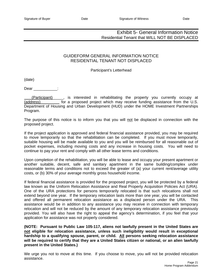# Exhibit 5- General Information Notice Residential Tenant that WILL NOT BE DISPLACED

# GUIDEFORM GENERAL INFORMATION NOTICE RESIDENTIAL TENANT NOT DISPLACED

#### Participant's Letterhead

(date)

Dear :

 (Participant)\_\_\_\_\_, is interested in rehabilitating the property you currently occupy at (address) for a proposed project which may receive funding assistance from the U.S. Department of Housing and Urban Development (HUD) under the HOME Investment Partnerships Program.

The purpose of this notice is to inform you that you will not be displaced in connection with the proposed project.

If the project application is approved and federal financial assistance provided, you may be required to move temporarily so that the rehabilitation can be completed. If you must move temporarily, suitable housing will be made available to you and you will be reimbursed for all reasonable out of pocket expenses, including moving costs and any increase in housing costs. You will need to continue to pay your rent and comply with all other lease terms and conditions.

Upon completion of the rehabilitation, you will be able to lease and occupy your present apartment or another suitable, decent, safe and sanitary apartment in the same building/complex under reasonable terms and conditions not to exceed the greater of (a) your current rent/average utility costs, or (b) 30% of your average monthly gross household income.

If federal financial assistance is provided for the proposed project, you will be protected by a federal law known as the Uniform Relocation Assistance and Real Property Acquisition Policies Act (URA). One of the URA protections for persons temporarily relocated is that such relocations shall not extend beyond one year. If the temporary relocation lasts more than one year, you will be contacted and offered all permanent relocation assistance as a displaced person under the URA. This assistance would be in addition to any assistance you may receive in connection with temporary relocation and will not be reduced by the amount of any temporary relocation assistance previously provided. You will also have the right to appeal the agency's determination, if you feel that your application for assistance was not properly considered.

**(NOTE: Pursuant to Public Law 105-117, aliens not lawfully present in the United States are not eligible for relocation assistance, unless such ineligibility would result in exceptional hardship to a qualifying spouse, parent, or child. All persons seeking relocation assistance will be required to certify that they are a United States citizen or national, or an alien lawfully present in the United States.)** 

We urge you not to move at this time. If you choose to move, you will not be provided relocation assistance.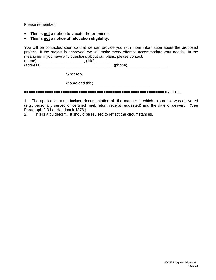Please remember:

- **This is not a notice to vacate the premises.**
- **This is not a notice of relocation eligibility.**

You will be contacted soon so that we can provide you with more information about the proposed project. If the project is approved, we will make every effort to accommodate your needs. In the meantime, if you have any questions about our plans, please contact:  $(name)$ \_\_\_\_\_\_\_\_\_\_\_\_\_\_\_\_\_\_\_\_\_\_\_\_\_\_\_\_\_,  $(title)$ \_\_\_\_\_\_\_\_\_\_\_\_,  $(photress)$ 

(address)\_\_\_\_\_\_\_\_\_\_\_\_\_\_\_\_\_\_\_\_\_\_\_\_\_\_\_\_\_\_\_\_\_, (phone)\_\_\_\_\_\_\_\_\_\_\_\_\_\_\_\_\_\_\_.

Sincerely,

(name and title)\_\_\_\_\_\_\_\_\_\_\_\_\_\_\_\_\_\_\_\_\_\_\_\_\_\_

===============================================================NOTES.

1. The application must include documentation of the manner in which this notice was delivered (e.g., personally served or certified mail, return receipt requested) and the date of delivery. (See Paragraph 2-3 I of Handbook 1378.)

2. This is a guideform. It should be revised to reflect the circumstances.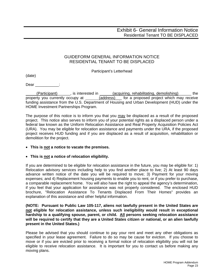# GUIDEFORM GENERAL INFORMATION NOTICE RESIDENTIAL TENANT TO BE DISPLACED

Participant's Letterhead

(date)

Dear :

 (Participant)\_\_\_\_\_\_, is interested in (acquiring, rehabilitating, demolishing)\_\_\_\_\_\_ the property you currently occupy at (address) for a proposed project which may receive funding assistance from the U.S. Department of Housing and Urban Development (HUD) under the HOME Investment Partnerships Program.

The purpose of this notice is to inform you that you may be displaced as a result of the proposed project. This notice also serves to inform you of your potential rights as a displaced person under a federal law known as the Uniform Relocation Assistance and Real Property Acquisition Policies Act (URA). You may be eligible for relocation assistance and payments under the URA, if the proposed project receives HUD funding and if you are displaced as a result of acquisition, rehabilitation or demolition for the project.

# • **This is not a notice to vacate the premises.**

## • **This is not a notice of relocation eligibility.**

If you are determined to be eligible for relocation assistance in the future, you may be eligible for: 1) Relocation advisory services including help to you find another place to live; 2) At least 90 days advance written notice of the date you will be required to move; 3) Payment for your moving expenses; and 4) Replacement housing payments to enable you to rent, or if you prefer to purchase, a comparable replacement home. You will also have the right to appeal the agency's determination, if you feel that your application for assistance was not properly considered. The enclosed HUD brochure, "Relocation Assistance To Tenants Displaced From Their Homes" provides an explanation of this assistance and other helpful information.

**(NOTE: Pursuant to Public Law 105-117, aliens not lawfully present in the United States are not eligible for relocation assistance, unless such ineligibility would result in exceptional hardship to a qualifying spouse, parent, or child. All persons seeking relocation assistance will be required to certify that they are a United States citizen or national, or an alien lawfully present in the United States.)** 

Please be advised that you should continue to pay your rent and meet any other obligations as specified in your lease agreement. Failure to do so may be cause for eviction. If you choose to move or if you are evicted prior to receiving a formal notice of relocation eligibility you will not be eligible to receive relocation assistance. It is important for you to contact us before making any moving plans.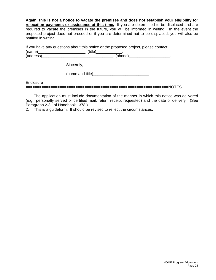**Again, this is not a notice to vacate the premises and does not establish your eligibility for relocation payments or assistance at this time.** If you are determined to be displaced and are required to vacate the premises in the future, you will be informed in writing. In the event the proposed project does not proceed or if you are determined not to be displaced, you will also be notified in writing.

If you have any questions about this notice or the proposed project, please contact: (name)\_\_\_\_\_\_\_\_\_\_\_\_\_\_\_\_\_\_\_\_\_\_, (title)\_\_\_\_\_\_\_\_\_\_\_\_,  $(address)$   $(address)$   $(5,10)$   $(6,10)$   $(7,10)$   $(7,10)$   $(8,10)$   $(7,10)$   $(8,10)$   $(9,10)$   $(9,10)$   $(9,10)$   $(9,10)$   $(9,10)$   $(9,10)$   $(9,10)$   $(9,10)$   $(9,10)$   $(9,10)$   $(9,10)$   $(9,10)$   $(9,10)$   $(9,10)$   $(9,10)$   $(9,10)$   $($ 

Sincerely,

(name and title)

**Enclosure** 

===============================================================NOTES

1. The application must include documentation of the manner in which this notice was delivered (e.g., personally served or certified mail, return receipt requested) and the date of delivery. (See Paragraph 2-3 I of Handbook 1378.)

2. This is a guideform. It should be revised to reflect the circumstances.